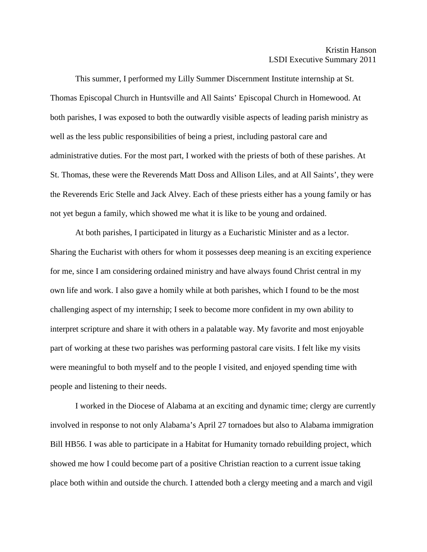This summer, I performed my Lilly Summer Discernment Institute internship at St. Thomas Episcopal Church in Huntsville and All Saints' Episcopal Church in Homewood. At both parishes, I was exposed to both the outwardly visible aspects of leading parish ministry as well as the less public responsibilities of being a priest, including pastoral care and administrative duties. For the most part, I worked with the priests of both of these parishes. At St. Thomas, these were the Reverends Matt Doss and Allison Liles, and at All Saints', they were the Reverends Eric Stelle and Jack Alvey. Each of these priests either has a young family or has not yet begun a family, which showed me what it is like to be young and ordained.

At both parishes, I participated in liturgy as a Eucharistic Minister and as a lector. Sharing the Eucharist with others for whom it possesses deep meaning is an exciting experience for me, since I am considering ordained ministry and have always found Christ central in my own life and work. I also gave a homily while at both parishes, which I found to be the most challenging aspect of my internship; I seek to become more confident in my own ability to interpret scripture and share it with others in a palatable way. My favorite and most enjoyable part of working at these two parishes was performing pastoral care visits. I felt like my visits were meaningful to both myself and to the people I visited, and enjoyed spending time with people and listening to their needs.

I worked in the Diocese of Alabama at an exciting and dynamic time; clergy are currently involved in response to not only Alabama's April 27 tornadoes but also to Alabama immigration Bill HB56. I was able to participate in a Habitat for Humanity tornado rebuilding project, which showed me how I could become part of a positive Christian reaction to a current issue taking place both within and outside the church. I attended both a clergy meeting and a march and vigil